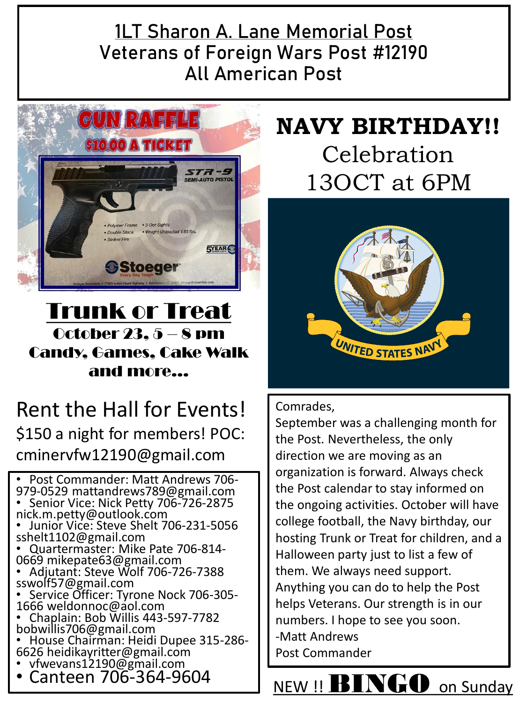#### **1LT Sharon A. Lane Memorial Post Veterans of Foreign Wars Post #12190 All American Post**



Trunk or Treat October 23,  $5 - 8$  pm Candy, Games, Cake Walk and more…

### Rent the Hall for Events! \$150 a night for members! POC: cminervfw12190@gmail.com

• Post Commander: Matt Andrews 706- 979-0529 mattandrews789@gmail.com • Senior Vice: Nick Petty 706-726-2875 nick.m.petty@outlook.com • Junior Vice: Steve Shelt 706-231-5056 sshelt1102@gmail.com • Quartermaster: Mike Pate 706-814- 0669 mikepate63@gmail.com • Adjutant: Steve Wolf 706-726-7388 sswolf57@gmail.com • Service Officer: Tyrone Nock 706-305- 1666 weldonnoc@aol.com • Chaplain: Bob Willis 443-597-7782 bobwillis706@gmail.com • House Chairman: Heidi Dupee 315-286- 6626 heidikayritter@gmail.com • vfwevans12190@gmail.com

• Canteen 706-364-9604

## **NAVY BIRTHDAY!!**  Celebration 13OCT at 6PM



Comrades,

September was a challenging month for the Post. Nevertheless, the only direction we are moving as an organization is forward. Always check the Post calendar to stay informed on the ongoing activities. October will have college football, the Navy birthday, our hosting Trunk or Treat for children, and a Halloween party just to list a few of them. We always need support. Anything you can do to help the Post helps Veterans. Our strength is in our numbers. I hope to see you soon. -Matt Andrews Post Commander

## NEW !! **BINGO** on Sunday